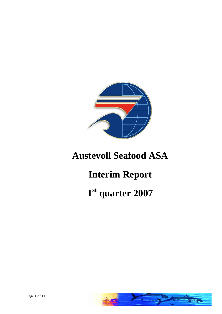

## **Austevoll Seafood ASA**

# **Interim Report**

# **1 st quarter 2007**

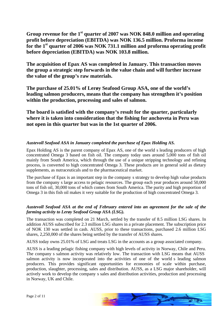**Group revenue for the 1st quarter of 2007 was NOK 848.0 million and operating profit before depreciation (EBITDA) was NOK 136.5 million. Proforma income for the 1st quarter of 2006 was NOK 731.1 million and proforma operating profit before depreciation (EBITDA) was NOK 103.8 million.**

**The acquisition of Epax AS was completed in January. This transaction moves the group a strategic step forwards in the value chain and will further increase the value of the group s raw materials.** 

**The purchase of 25.01% of Lerøy Seafood Group ASA, one of the world s leading salmon producers, means that the company has strengthen it s position within the production, processing and sales of salmon.**

**The board is satisfied with the company s result for the quarter, particularly where it is taken into consideration that the fishing for anchoveta in Peru was not open in this quarter but was in the 1st quarter of 2006.** 

#### *Austevoll Seafood ASA in January completed the purchase of Epax Holding AS.*

Epax Holding AS is the parent company of Epax AS, one of the world s leading producers of high concentrated Omega 3 based on fish oil. The company today uses around 5,000 tons of fish oil mainly from South America, which through the use of a unique stripping technology and refining process, is converted to high concentrated Omega 3. These products are in general sold as dietary supplements, as nutraceuticals and to the pharmaceutical market.

The purchase of Epax is an important step in the company s strategy to develop high value products from the company s large access to pelagic resources. The group each year produces around 50,000 tons of fish oil, 30,000 tons of which comes from South America. The purity and high proportion of Omega 3 in this fish oil makes it very suitable for the production of high concentrated Omega 3.

#### *Austevoll Seafood ASA at the end of February entered into an agreement for the sale of the farming activity to Lerøy Seafood Group ASA (LSG).*

The transaction was completed on 21 March, settled by the transferof 8.5 million LSG shares. In addition AUSS subscribed for 2.3 million LSG shares in a private placement. The subscription price of NOK 130 was settled in cash. AUSS, prior to these transactions, purchased 2.6 million LSG shares, 2,250,000 of the shares being settled by the transfer of AUSS shares.

AUSS today owns 25.01% of LSG and treats LSG in the accounts as a group associated company.

AUSS is a leading pelagic fishing company with high levels of activity in Norway, Chile and Peru. The company s salmon activity was relatively low. The transaction with LSG means that AUSS salmon activity is now incorporated into the activities of one of the world s leading salmon producers. This provides significant opportunities for economies of scale within purchase, production, slaughter, processing, sales and distribution. AUSS, as a LSG major shareholder, will actively work to develop the company s sales and distribution activities, production and processing in Norway, UK and Chile.

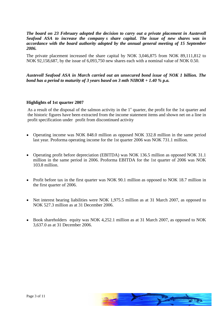*The board on 23 February adopted the decision to carry out a private placement in Austevoll Seafood ASA to increase the company s share capital. The issue of new shares was in accordance with the board authority adopted by the annual general meeting of 15 September 2006.*

The private placement increased the share capital by NOK 3,046,875 from NOK 89,111,812 to NOK 92,158,687, by the issue of 6,093,750 new shares each with a nominal value of NOK 0.50.

*Austevoll Seafood ASA in March carried out an unsecuredbond issue of NOK 1 billion. The bond has a period to maturity of 3 years based on 3 mth NIBOR + 1.40 % p.a.*

#### **Highlights of 1st quarter 2007**

As a result of the disposal of the salmon activity in the  $1<sup>st</sup>$  quarter, the profit for the 1st quarter and the historic figures have been extracted from the income statement items and shown net on a line in profit specification under profit from discontinued activity

- Operating income was NOK 848.0 million as opposed NOK 332.8 million in the same period last year. Proforma operating income for the 1st quarter 2006 was NOK 731.1 million.
- Operating profit before depreciation (EBITDA) was NOK 136.5 million as opposed NOK 31.1 million in the same period in 2006. Proforma EBITDA for the 1st quarter of 2006 was NOK 103.8 million.
- Profit before tax in the first quarter was NOK 90.1 million as opposed to NOK 18.7 million in the first quarter of 2006.
- Net interest bearing liabilities were NOK 1,975.5 million as at 31 March 2007, as opposed to NOK 527.3 million as at 31 December 2006.
- Book shareholders equity was NOK 4,252.1 million as at 31 March 2007, as opposed to NOK 3,637.0 as at 31 December 2006.

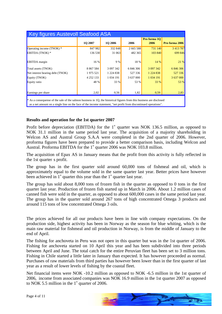| Key figures Austevoll Seafood ASA |                |                |           |                            |                       |
|-----------------------------------|----------------|----------------|-----------|----------------------------|-----------------------|
|                                   | <b>1Q 2007</b> | <b>1Q 2006</b> | 2006      | <b>Proforma 1Q</b><br>2006 | <b>Pro forma 2006</b> |
| Operating income (TNOK) *         | 847 982        | 332 848        | 2 665 588 | 731 140                    | 3 413 78              |
| EBITDA (TNOK) *                   | 136 530        | 31063          | 482 365   | 103840                     | 699 846               |
| <b>EBITDA</b> margin              | $16\%$         | 9 %            | $18 \%$   | $14 \%$                    | 210                   |
| Total assets (TNOK)               | 8 867 584      | 3 097 342      | 6 846 306 | 3 097 342                  | 6 846 306             |
| Net interest bearing debt (TNOK)  | 1 975 521      | 1 2 2 4 8 3 8  | 527 336   | 1 2 2 4 8 3 8              | 527 336               |
| Equity (TNOK)                     | 4 2 5 2 1 3 3  | 1 034 191      | 3 637 000 | 1 0 34 191                 | 3 637 000             |
| Equity ratio                      | 48 %           | 33 %           | 53 %      | $33 \%$                    | 520%                  |
|                                   |                |                |           |                            |                       |
| Earnings per share                | 2,02           | 0.56           | 1,82      | 0.59                       | 2.83                  |

#### **Results and operation for the 1st quarter 2007**

Profit before depreciation (EBITDA) for the  $1<sup>st</sup>$  quarter was NOK 136.5 million, as opposed to NOK 31.1 million in the same period last year. The acquisition of a majority shareholding in Welcon AS and Austral Group S.A.A were completed in the 2nd quarter of 2006. However, proforma figures have been prepared to provide a better comparison basis, including Welcon and Austral. Proforma EBITDA for the  $1<sup>st</sup>$  quarter 2006 was NOK 103.8 million.

The acquisition of Epax AS in January means that the profit from this activity is fully reflected in the 1st quarter s profit.

The group has in the first quarter sold around 60,000 tons of fishmeal and oil, which is approximately equal to the volume sold in the same quarter last year. Better prices have however been achieved in  $1<sup>st</sup>$  quarter this year than the  $1<sup>st</sup>$  quarter last year.

The group has sold about  $8,000$  tons of frozen fish in the quarter as opposed to 0 tons in the first quarter last year. Production of frozen fish started up in March in 2006. About 1.2 million cases of canned fish were sold in the quarter, as opposed to about 600,000 cases in the same period last year.<br>The group has in the quarter sold around 267 tons of high concentrated Omega 3 products and around 115 tons of low concentrated Omega 3 oils.

The prices achieved for all our products have been in line with company expectations. On the production side, highest activity has been in Norway as the season for blue whiting, which is the main raw material for fishmeal and oil production in Norway, is from the middle of January to the end of April.

The fishing for anchoveta in Peru was not open in this quarter but was in the 1st quarter of 2006. Fishing for anchoveta started on 10 April this year and has been subdivided into three periods between April and June. The total catch for the entire Peruvian fleet has been set to 3 million tons. Fishing in Chile started a little later in January than expected. It has however proceeded as normal. Purchases of raw materials from third parties has however been lower than in the first quarter of last year as a result of lower levels of fishing by the coastal fleet.<br>Net financial items were NOK -10.2 million as opposed to NOK -6.5 million in the 1st quarter of

2006, income from associated companies was NOK 16.9 million in the 1st quarter 2007 as opposed to NOK 5.5 million in the  $1^{\text{st}}$  quarter of 2006.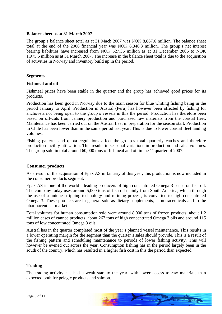#### **Balance sheet as at 31 March 2007**

The group s balance sheet total as at 31 Mach 2007 was NOK 8,867.6 million. The balance sheet total at the end of the 2006 financial year was NOK 6,846.3 million. The group s net interest bearing liabilities have increased from NOK 527.36 million as at 31 December 2006 to NOK 1,975.5 million as at 31 March 2007. The increase in the balance sheet total is due to the acquisition of activities in Norway and inventory build up in the period.

#### **Segments**

#### **Fishmeal and oil**

Fishmeal prices have been stable in the quarter and the group has achieved good prices for its products.

Production has been good in Norway due to the main season for blue whiting fishing being in the period January to April. Production in Austral (Peru) has however been affected by fishing for anchoveta not being open to the group s vessels in this the period. Production has therefore been based on off-cuts from cannery production and purchased raw materials from the coastal fleet. Maintenance has been carried out on the Austral fleet in preparation for the season start. Production in Chile has been lower than in the same period last year.This is due to lower coastal fleet landing volumes.

Fishing patterns and quota regulations affect the group s total quarterly catches and therefore production facility utilization. This results in seasonal variations in production and sales volumes. The group sold in total around  $60,000$  tons of fishmeal and oil in the  $1<sup>st</sup>$  quarter of 2007.

#### **Consumer products**

As a result of the acquisition of Epax AS in January of this year, this production is now included in the consumer products segment.

Epax AS is one of the world s leading producers of high concentrated Omega 3 based on fish oil. The company today uses around 5,000 tons of fish oil mainly from South America, which through the use of a unique stripping technology and refining process, is converted to high concentrated Omega 3. These products are in general sold as dietary supplements, as nutraceuticals and to the pharmaceutical market.

Total volumes for human consumption sold were around 8,000 tons of frozen products, about 1.2 million cases of canned products, about 267 tons of high concentrated Omega 3 oils and around 115 tons of low concentrated Omega 3 oils.

Austral has in the quarter completed most of the year s planned vessel maintenance. This results in a lower operating margin for the segment than the quarter s sales should provide. This is a result of the fishing pattern and scheduling maintenance to periods of lower fishing activity. This will however be evened out across the year. Consumption fishing has in the period largely been in the south of the country, which has resulted in a higher fish cost in this the period than expected.

#### **Trading**

The trading activity has had a weak start to the year, with lower access to raw materials than expected both for pelagic products and salmon.

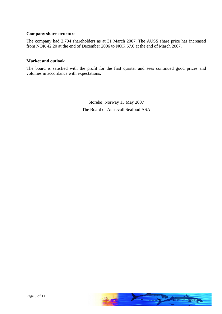#### **Company share structure**

The company had 2,704 shareholders as at 31 March 2007. The AUSS share price has increased from NOK 42.20 at the end of December 2006 to NOK 57.0 at the end of March 2007.

#### **Market and outlook**

The board is satisfied with the profit for the first quarter and sees continued good prices and volumes in accordance with expectations.

> Storebø, Norway 15 May 2007 The Board of Austevoll Seafood ASA

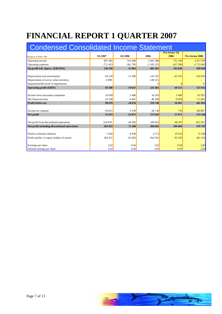## **FINANCIAL REPORT 1 QUARTER 2007**

| <b>Condensed Consolidated Income Statement</b> |           |                |            |                             |                |
|------------------------------------------------|-----------|----------------|------------|-----------------------------|----------------|
| All figures in NOK 1.000                       | 1Q 2007   | <b>1Q 2006</b> | 2006       | <b>Pro forma 1Q</b><br>2006 | Pro forma 2006 |
| Operating income                               | 847982    | 332 848        | 2 665 588  | 731 140                     | 3 4 1 3 7 8 7  |
| Operating expenses                             | $-711453$ | $-301785$      | $-2183223$ | $-627300$                   | $-2713941$     |
| Op.profit bef. deprec. (EBITDA)                | 136 530   | 31 063         | 482 365    | 103 840                     | 699 846        |
|                                                |           |                |            |                             |                |
| Depreciation and amortisation                  | $-50230$  | $-11406$       | $-116781$  | $-43325$                    | $-183.93$      |
| Depreciation of excess value inventory         | $-3000$   |                | $-140221$  |                             |                |
| Impairment/Reversal of impairments             |           |                |            |                             |                |
| <b>Operating profit (EBIT)</b>                 | 83 300    | <b>19 657</b>  | 225 363    | 60515                       | 51591          |
|                                                |           |                |            |                             |                |
| Income from associated companies               | 16939     | 5 4 8 0        | 16593      | 5480                        | 16 5 93        |
| Net financial items                            | $-10160$  | $-6461$        | $-48208$   | $-9034$                     | $-71445$       |
| <b>Profit before tax</b>                       | 90 078    | <b>18676</b>   | 193 748    | 56961                       | 461 063        |
|                                                |           |                |            |                             |                |
| Income tax expense                             | $-39025$  | 4 1 9 9        | $-36138$   | 710                         | $-86897$       |
| Net profit                                     | 51 053    | 22 875         | 157 610    | 57671                       | 374 166        |
|                                                |           |                |            |                             |                |
| Net profit from discontinued operations        | 314 870   | 48 3 8 5       | 109 055    | 48 397                      | 102 541        |
| Net profit including discontinued operations   | 365 923   | 71 260         | 266 665    | 106 068                     | 476 707        |
|                                                |           |                |            |                             |                |
| Profit to minority interests                   | 1 602     | 8458           | 2 2 7 3    | 10519                       | 15 546         |
| Profit attribut. to equity holders of parent   | 364 321   | 62 802         | 264 392    | 95549                       | 461 161        |
|                                                |           |                |            |                             |                |
| Earnings per share                             |           | 0,56           |            | 0,59                        |                |
| Diluted earnings per share                     | 200       | 0.56           | 1.82       | 0.59                        |                |

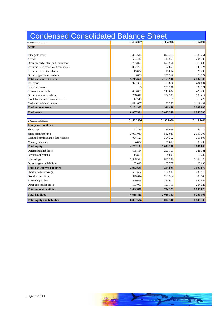| Condensed Consolidated Balance Sheet                                |                     |                   |                   |
|---------------------------------------------------------------------|---------------------|-------------------|-------------------|
| All figures in NOK 1.000                                            | 31.03.2007          | 31.03.2006        | 31.12.2006        |
| Assets                                                              |                     |                   |                   |
|                                                                     |                     |                   |                   |
| Intangible assets                                                   | 1 3 8 4 6 1 6       | 898 31            | 1 385 261         |
| <b>Vessels</b>                                                      | 684 442             | 413 563           | 704 408           |
| Other property, plant and equipment                                 | 1755890             | 599 951           | 1 815 689         |
| Investments in associtated companies<br>Investments in other shares | 1 807 263<br>19 822 | 107 656<br>15 054 | 145 124<br>26 298 |
| Other long-term receivables                                         | 63 628              | 121 367           | 70 524            |
| Total non-current assets                                            | 5 715 661           | 2 155 901         | 4 147 303         |
| Inventories                                                         | 977 330             | 178 814           | 434 604           |
| <b>Biological</b> assets                                            |                     | 250 201           | 224 771           |
| Accounts receivable                                                 | 483 820             | 243 682           | 429 290           |
| Other current receivables                                           | 256 61              | 132 386           | 188 417           |
| Available-for-sale financial assets                                 | 12 5 48             |                   | 10 4 28           |
| Cash and cash equivalents                                           | 1 4 2 1 6 0 7       | 136 353           | 1411492           |
| Total current assets                                                | 3 151 922           | 941 441           | 2 699 003         |
| <b>Total assets</b>                                                 | 8 867 584           | 3 097 342         | 6 846 306         |
|                                                                     |                     |                   |                   |
| All figures in NOK 1.000                                            | 31.12.2006          | 31.03.2006        | 31.12.2006        |
| <b>Equity and liabilities</b>                                       |                     |                   |                   |
| Share capital                                                       | 92 159              | 56 098            | 89 112            |
| Share premium fund                                                  | 3 081 049           | 512088            | 2 798 795         |
| Retained earnings and other reserves                                | 994 123             | 394 352           | 665 893           |
| Minority interests                                                  | 84 802              | 71 653            | 83 200            |
| Total equity                                                        | 4 252 133           | 1 034 191         | 3 637 000         |
| Deferred tax liabilities                                            | 506 134             | 257 158           | 621 381           |
| Pension obligations                                                 | 15 853              | 4 8 0 2           | 18 287            |
| Borrowings                                                          | 2 3 68 5 94         | 881 287           | 1 354 378         |
| Other long-term liabilities                                         | 32 040              | 165 777           | 28 630            |
| Total non-current liabilities                                       | 2 9 2 2 6 2 1       | 1 309 024         | 2 022 677         |
| Short term borrowings                                               | 681 507             | 166 982           | 233 913           |
| Overdraft facilities                                                | 378 614             | 268 51            | 380 540           |
| Accounts payable                                                    | 449 645             | 164 914           | 367 447           |
| Other current liabilities                                           | 183 063             | 153 718           | 204 729           |
|                                                                     |                     |                   |                   |
| Total current liabilities                                           | 1 692 830           | 754 126           | 1 186 629         |
| Total liabilities                                                   | 4 615 451           | 2 063 150         | 3 209 306         |

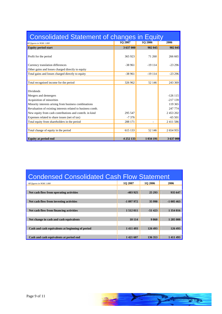| Consolidated Statement of changes in Equity                 |                |                |               |
|-------------------------------------------------------------|----------------|----------------|---------------|
| All figures in NOK 1.000                                    | <b>1Q 2007</b> | <b>1Q 2006</b> | 2006          |
| <b>Equity period start</b>                                  | 3 637 000      | 982 045        | 982 045       |
| Profit for the period                                       | 365 923        | 71 260         | 266 665       |
| Currency translation differences                            | $-38961$       | $-19114$       | $-23296$      |
| Other gains and losses charged directly to equity           |                |                |               |
| Total gains and losses charged directly to equity           | -38 961        | $-19114$       | $-23296$      |
| Total recognised income for the period                      | 326 962        | 52146          | 243 369       |
| Dividends                                                   |                |                |               |
| Mergers and demergers                                       |                |                | $-126115$     |
| Acquisition of minorities                                   |                |                | $-217139$     |
| Minority interests arising from business combinations       |                |                | 119 365       |
| Revaluation of existing interests related to business comb. |                |                | 247 774       |
| New equity from cash contributions and contrib. in kind     | 295 547        |                | 2 453 202     |
| Expenses related to share issues (net of tax)               | $-7376$        |                | $-65501$      |
| Total equity from shareholders in the period                | 288 171        |                | 2 4 1 1 5 8 6 |
| Total change of equity in the period                        | 615 133        | 52146          | 2 654 955     |
| <b>Equity at period end</b>                                 | 4 252 133      | 1 034 191      | 3 637 000     |

| <b>Condensed Consolidated Cash Flow Statement</b> |                |                |            |
|---------------------------------------------------|----------------|----------------|------------|
| All figures in NOK 1.000                          | <b>1Q 2007</b> | <b>1Q 2006</b> | 2006       |
| Net cash flow from operating activities           | -403 925       | 25 29 3        | 935 647    |
| Net cash flow from investing activities           | $-1097972$     | 35 990         | $-1005463$ |
| Net cash flow from financing activities           | 1 512 011      | $-51423$       | 1 354 816  |
| Net change in cash and cash equivalents           | 10114          | 9860           | 1 285 000  |
| Cash and cash equivalents at beginning of period  | 1 4 1 1 4 9 3  | 126 493        | 126 493    |
| Cash and cash equivalents at period end           | 1 421 607      | 136 353        | 1 411 493  |

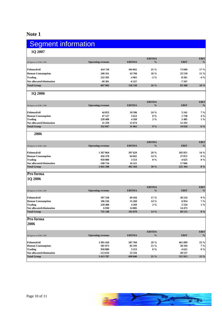## **Note 1**

| Segment information                                                                      |                          |                                                                         |                                       |                    |                 |
|------------------------------------------------------------------------------------------|--------------------------|-------------------------------------------------------------------------|---------------------------------------|--------------------|-----------------|
| <b>1Q 2007</b>                                                                           |                          |                                                                         |                                       |                    |                 |
| All figures in NOK 1.000                                                                 | <b>Operating revenue</b> | <b>EBITDA</b>                                                           | EBITDA $\frac{6}{10}$                 | <b>EBIT</b>        | <b>EBIT</b>     |
|                                                                                          | 424 728                  | 104 062                                                                 | 25 %                                  | 73 609             | $17\%$          |
| Fishmeal/oil<br>Human Consumption                                                        | 240 161                  | 43 760                                                                  | 18 %                                  | 25 539             | $11\%$          |
|                                                                                          | 232 395                  | -4965<br>$-6327$                                                        | $-2\frac{9}{6}$                       | $-8281$<br>$-7567$ | $-4\%$          |
| Trading<br>Not allocated/elimination<br>Total Group                                      | -49 301<br>847 983       | 136 530                                                                 | 16 %                                  | 83 300 10 %        |                 |
| and the control of the control of<br><b>1Q 2006</b>                                      |                          |                                                                         |                                       |                    |                 |
|                                                                                          |                          |                                                                         |                                       |                    |                 |
| All figures in NOK 1.000                                                                 | <b>Operating revenue</b> | <b>EBITDA</b>                                                           | <b>EBITDA</b><br>$\sim$ $\frac{9}{0}$ | <b>EBIT</b>        | <b>EBIT</b>     |
|                                                                                          |                          |                                                                         |                                       |                    |                 |
|                                                                                          | 44 053<br>47 127         | 10 50 6<br>3 6 1 3                                                      | 24 %<br>$8\%$                         | 3 14 1<br>1738     |                 |
|                                                                                          | 220 408                  | 4 2 6 9                                                                 | $2\%$                                 | 2485               |                 |
| Fishmeal/oil<br>Human Consumption<br>Trading<br>Not allocated/elimination<br>Total Group | 21 259<br>332 847        | 12674<br>31 062                                                         | $9\%$                                 | 12 29 2<br>19 656  |                 |
|                                                                                          |                          |                                                                         |                                       |                    |                 |
| 2006                                                                                     |                          |                                                                         |                                       |                    |                 |
|                                                                                          |                          | <b>EBITDA</b>                                                           | <b>EBITDA</b><br>$\sim$ $\frac{9}{0}$ | <b>EBIT</b>        | <b>EBIT</b>     |
| All figures in NOK 1.000                                                                 | <b>Operating revenue</b> |                                                                         |                                       |                    |                 |
| Fishmeal/oil<br>Human Consumption<br>Trading<br>Not allocated/elimination<br>Total Group | 1 367 064                | 397 629                                                                 | 29 %<br>14 %                          | 185 051            | 14%             |
|                                                                                          | 456 378<br>950 880       | 64 661<br>3 5 5 3                                                       | $0\%$                                 | 27 872<br>$-4625$  |                 |
|                                                                                          | -108 734                 | 16 5 21                                                                 |                                       | 17 066             |                 |
|                                                                                          | 2 6 6 5 5 8 8            | 482 364                                                                 | $18 \%$                               | 225 364 8 %        |                 |
| Pro forma                                                                                |                          |                                                                         |                                       |                    |                 |
| <b>1Q 2006</b>                                                                           |                          |                                                                         |                                       |                    |                 |
|                                                                                          |                          |                                                                         | <b>EBITDA</b>                         |                    | <b>EBIT</b>     |
| All figures in NOK 1.000                                                                 | <b>Operating revenue</b> | <b>EBITDA</b>                                                           | $\sim$ $\frac{0}{0}$                  | <b>EBIT</b>        |                 |
|                                                                                          | 397 558                  | 69 45 6                                                                 | $17\%$                                | 36 554             |                 |
|                                                                                          | 106 236                  | 15 260                                                                  | 14 %                                  | 6954               |                 |
|                                                                                          | 220 408<br>6938          | 4 2 6 9<br>14 8 85                                                      | $2\%$                                 | 2 5 3 4<br>14 473  |                 |
| Fishmeal/oil<br>Human Consumption<br>Trading<br>Not allocated/elimination<br>Total Group | 731 140                  |                                                                         | $103\,870$ 14 %                       | $60515$ 8%         |                 |
| Pro forma                                                                                |                          |                                                                         |                                       |                    |                 |
| 2006                                                                                     |                          |                                                                         |                                       |                    |                 |
|                                                                                          |                          |                                                                         |                                       |                    |                 |
| All figures in NOK 1.000                                                                 |                          | <b>EBITDA</b>                                                           | <b>EBITDA</b><br>$\sim$ $\frac{9}{0}$ | <b>EBIT</b>        | <b>EBIT</b>     |
|                                                                                          | <b>Operating revenue</b> |                                                                         |                                       |                    |                 |
| Fishmeal/oil<br>Human Consumption<br>Trading<br>Not allocated/elimination<br>Total Group | 1995 450<br>581 073      | $\begin{array}{r} 587\ 784 \\ 85\ 193 \\ 3\ 553 \\ 23\ 316 \end{array}$ | 29 %<br>15 %                          | 461 899            | $23\%$<br>$7\%$ |
|                                                                                          | 950 880                  |                                                                         | $0\%$                                 | $38104$<br>-4625   | $0\%$           |
|                                                                                          | $-113616$                |                                                                         |                                       | 20 537             |                 |
|                                                                                          | 3 4 13 7 8 7             | 699 846                                                                 | 21 %                                  | 515 915            | $15\%$          |
|                                                                                          |                          |                                                                         |                                       |                    |                 |